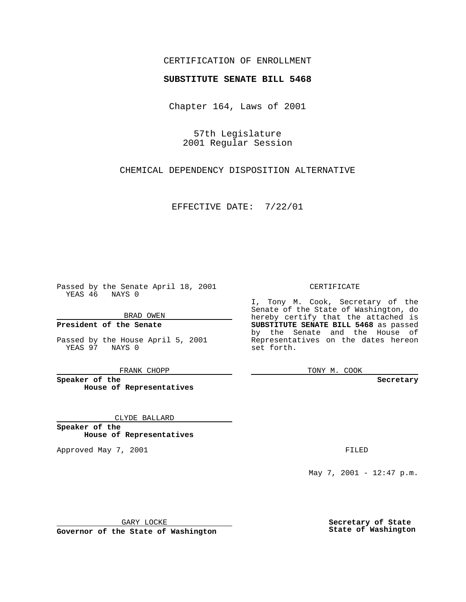### CERTIFICATION OF ENROLLMENT

# **SUBSTITUTE SENATE BILL 5468**

Chapter 164, Laws of 2001

57th Legislature 2001 Regular Session

CHEMICAL DEPENDENCY DISPOSITION ALTERNATIVE

EFFECTIVE DATE: 7/22/01

Passed by the Senate April 18, 2001 YEAS 46 NAYS 0

BRAD OWEN

**President of the Senate**

Passed by the House April 5, 2001 YEAS 97 NAYS 0

FRANK CHOPP

**Speaker of the House of Representatives**

CLYDE BALLARD

**Speaker of the House of Representatives**

Approved May 7, 2001 **FILED** 

### CERTIFICATE

I, Tony M. Cook, Secretary of the Senate of the State of Washington, do hereby certify that the attached is **SUBSTITUTE SENATE BILL 5468** as passed by the Senate and the House of Representatives on the dates hereon set forth.

TONY M. COOK

#### **Secretary**

May 7, 2001 - 12:47 p.m.

GARY LOCKE

**Governor of the State of Washington**

**Secretary of State State of Washington**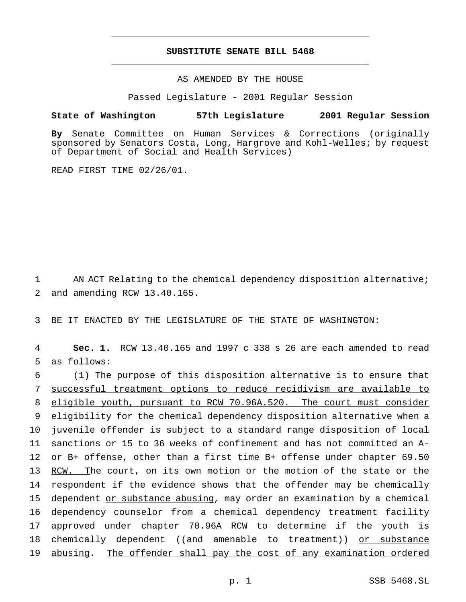## **SUBSTITUTE SENATE BILL 5468** \_\_\_\_\_\_\_\_\_\_\_\_\_\_\_\_\_\_\_\_\_\_\_\_\_\_\_\_\_\_\_\_\_\_\_\_\_\_\_\_\_\_\_\_\_\_\_

\_\_\_\_\_\_\_\_\_\_\_\_\_\_\_\_\_\_\_\_\_\_\_\_\_\_\_\_\_\_\_\_\_\_\_\_\_\_\_\_\_\_\_\_\_\_\_

## AS AMENDED BY THE HOUSE

Passed Legislature - 2001 Regular Session

### **State of Washington 57th Legislature 2001 Regular Session**

**By** Senate Committee on Human Services & Corrections (originally sponsored by Senators Costa, Long, Hargrove and Kohl-Welles; by request of Department of Social and Health Services)

READ FIRST TIME 02/26/01.

1 AN ACT Relating to the chemical dependency disposition alternative; 2 and amending RCW 13.40.165.

3 BE IT ENACTED BY THE LEGISLATURE OF THE STATE OF WASHINGTON:

4 **Sec. 1.** RCW 13.40.165 and 1997 c 338 s 26 are each amended to read 5 as follows:

 (1) The purpose of this disposition alternative is to ensure that successful treatment options to reduce recidivism are available to eligible youth, pursuant to RCW 70.96A.520. The court must consider 9 eligibility for the chemical dependency disposition alternative when a juvenile offender is subject to a standard range disposition of local sanctions or 15 to 36 weeks of confinement and has not committed an A- or B+ offense, other than a first time B+ offense under chapter 69.50 13 RCW. The court, on its own motion or the motion of the state or the respondent if the evidence shows that the offender may be chemically dependent or substance abusing, may order an examination by a chemical dependency counselor from a chemical dependency treatment facility approved under chapter 70.96A RCW to determine if the youth is 18 chemically dependent ((and amenable to treatment)) or substance abusing. The offender shall pay the cost of any examination ordered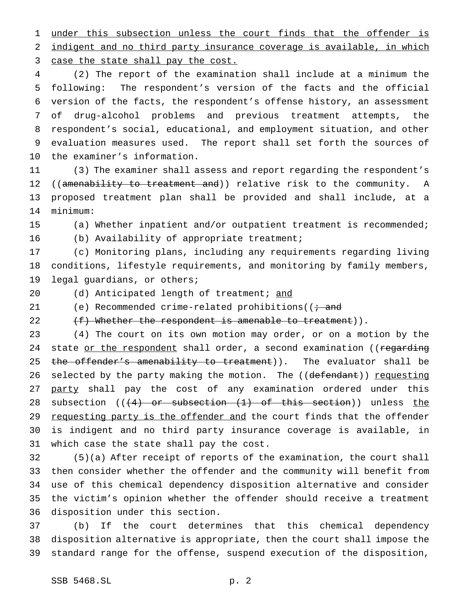1 under this subsection unless the court finds that the offender is indigent and no third party insurance coverage is available, in which 3 case the state shall pay the cost.

 (2) The report of the examination shall include at a minimum the following: The respondent's version of the facts and the official version of the facts, the respondent's offense history, an assessment of drug-alcohol problems and previous treatment attempts, the respondent's social, educational, and employment situation, and other evaluation measures used. The report shall set forth the sources of the examiner's information.

 (3) The examiner shall assess and report regarding the respondent's 12 ((amenability to treatment and)) relative risk to the community. A proposed treatment plan shall be provided and shall include, at a minimum:

(a) Whether inpatient and/or outpatient treatment is recommended;

(b) Availability of appropriate treatment;

 (c) Monitoring plans, including any requirements regarding living conditions, lifestyle requirements, and monitoring by family members, legal guardians, or others;

20 (d) Anticipated length of treatment; and

21 (e) Recommended crime-related prohibitions ( $\ddot{\theta}$  and

22 (f) Whether the respondent is amenable to treatment)).

 (4) The court on its own motion may order, or on a motion by the 24 state or the respondent shall order, a second examination ((regarding 25 the offender's amenability to treatment)). The evaluator shall be 26 selected by the party making the motion. The ((defendant)) requesting 27 party shall pay the cost of any examination ordered under this 28 subsection  $((4)$  or subsection  $(1)$  of this section)) unless the 29 requesting party is the offender and the court finds that the offender is indigent and no third party insurance coverage is available, in which case the state shall pay the cost.

 (5)(a) After receipt of reports of the examination, the court shall then consider whether the offender and the community will benefit from use of this chemical dependency disposition alternative and consider the victim's opinion whether the offender should receive a treatment disposition under this section.

 (b) If the court determines that this chemical dependency disposition alternative is appropriate, then the court shall impose the standard range for the offense, suspend execution of the disposition,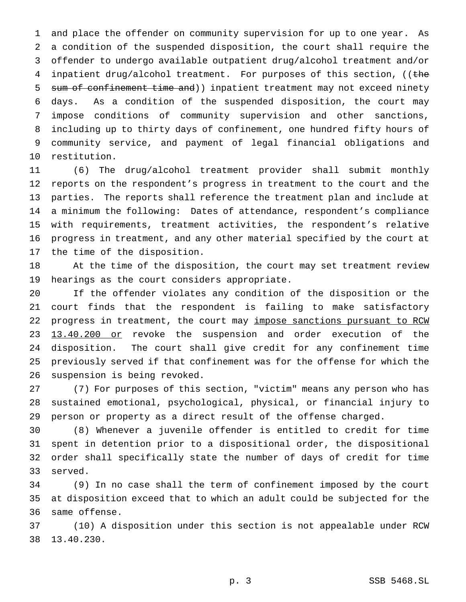and place the offender on community supervision for up to one year. As a condition of the suspended disposition, the court shall require the offender to undergo available outpatient drug/alcohol treatment and/or 4 inpatient drug/alcohol treatment. For purposes of this section, ((the 5 sum of confinement time and) ) inpatient treatment may not exceed ninety days. As a condition of the suspended disposition, the court may impose conditions of community supervision and other sanctions, including up to thirty days of confinement, one hundred fifty hours of community service, and payment of legal financial obligations and restitution.

 (6) The drug/alcohol treatment provider shall submit monthly reports on the respondent's progress in treatment to the court and the parties. The reports shall reference the treatment plan and include at a minimum the following: Dates of attendance, respondent's compliance with requirements, treatment activities, the respondent's relative progress in treatment, and any other material specified by the court at the time of the disposition.

 At the time of the disposition, the court may set treatment review hearings as the court considers appropriate.

 If the offender violates any condition of the disposition or the court finds that the respondent is failing to make satisfactory 22 progress in treatment, the court may impose sanctions pursuant to RCW 23 13.40.200 or revoke the suspension and order execution of the disposition. The court shall give credit for any confinement time previously served if that confinement was for the offense for which the suspension is being revoked.

 (7) For purposes of this section, "victim" means any person who has sustained emotional, psychological, physical, or financial injury to person or property as a direct result of the offense charged.

 (8) Whenever a juvenile offender is entitled to credit for time spent in detention prior to a dispositional order, the dispositional order shall specifically state the number of days of credit for time served.

 (9) In no case shall the term of confinement imposed by the court at disposition exceed that to which an adult could be subjected for the same offense.

 (10) A disposition under this section is not appealable under RCW 13.40.230.